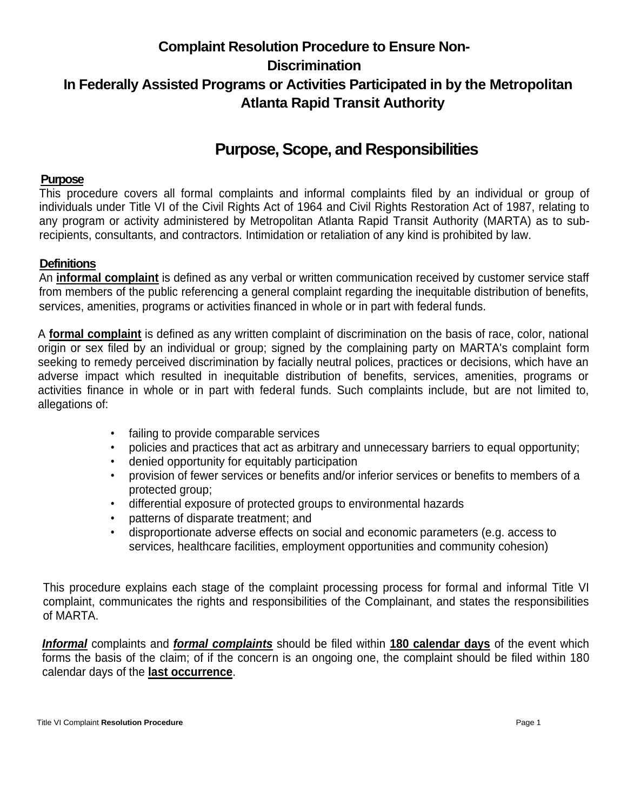# **Complaint Resolution Procedure to Ensure Non-Discrimination In Federally Assisted Programs or Activities Participated in by the Metropolitan Atlanta Rapid Transit Authority**

# **Purpose, Scope, and Responsibilities**

#### **Purpose**

This procedure covers all formal complaints and informal complaints filed by an individual or group of individuals under Title VI of the Civil Rights Act of 1964 and Civil Rights Restoration Act of 1987, relating to any program or activity administered by Metropolitan Atlanta Rapid Transit Authority (MARTA) as to subrecipients, consultants, and contractors. Intimidation or retaliation of any kind is prohibited by law.

### **Definitions**

An **informal complaint** is defined as any verbal or written communication received by customer service staff from members of the public referencing a general complaint regarding the inequitable distribution of benefits, services, amenities, programs or activities financed in whole or in part with federal funds.

A **formal complaint** is defined as any written complaint of discrimination on the basis of race, color, national origin or sex filed by an individual or group; signed by the complaining party on MARTA's complaint form seeking to remedy perceived discrimination by facially neutral polices, practices or decisions, which have an adverse impact which resulted in inequitable distribution of benefits, services, amenities, programs or activities finance in whole or in part with federal funds. Such complaints include, but are not limited to, allegations of:

- failing to provide comparable services
- policies and practices that act as arbitrary and unnecessary barriers to equal opportunity;
- denied opportunity for equitably participation
- provision of fewer services or benefits and/or inferior services or benefits to members of a protected group;
- differential exposure of protected groups to environmental hazards
- patterns of disparate treatment; and
- disproportionate adverse effects on social and economic parameters (e.g. access to services, healthcare facilities, employment opportunities and community cohesion)

This procedure explains each stage of the complaint processing process for formal and informal Title VI complaint, communicates the rights and responsibilities of the Complainant, and states the responsibilities of MARTA.

*Informal* complaints and *formal complaints* should be filed within **180 calendar days** of the event which forms the basis of the claim; of if the concern is an ongoing one, the complaint should be filed within 180 calendar days of the **last occurrence**.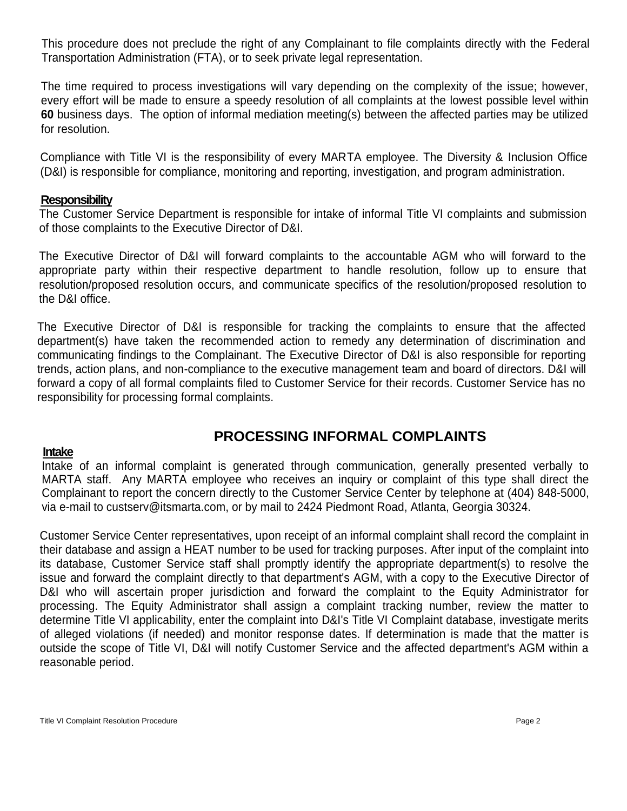This procedure does not preclude the right of any Complainant to file complaints directly with the Federal Transportation Administration (FTA), or to seek private legal representation.

The time required to process investigations will vary depending on the complexity of the issue; however, every effort will be made to ensure a speedy resolution of all complaints at the lowest possible level within **60** business days. The option of informal mediation meeting(s) between the affected parties may be utilized for resolution.

Compliance with Title VI is the responsibility of every MARTA employee. The Diversity & Inclusion Office (D&I) is responsible for compliance, monitoring and reporting, investigation, and program administration.

#### **Responsibility**

The Customer Service Department is responsible for intake of informal Title VI complaints and submission of those complaints to the Executive Director of D&I.

The Executive Director of D&I will forward complaints to the accountable AGM who will forward to the appropriate party within their respective department to handle resolution, follow up to ensure that resolution/proposed resolution occurs, and communicate specifics of the resolution/proposed resolution to the D&I office.

The Executive Director of D&I is responsible for tracking the complaints to ensure that the affected department(s) have taken the recommended action to remedy any determination of discrimination and communicating findings to the Complainant. The Executive Director of D&I is also responsible for reporting trends, action plans, and non-compliance to the executive management team and board of directors. D&I will forward a copy of all formal complaints filed to Customer Service for their records. Customer Service has no responsibility for processing formal complaints.

## **PROCESSING INFORMAL COMPLAINTS**

#### **Intake**

Intake of an informal complaint is generated through communication, generally presented verbally to MARTA staff. Any MARTA employee who receives an inquiry or complaint of this type shall direct the Complainant to report the concern directly to the Customer Service Center by telephone at (404) 848-5000, via e-mail to custserv@itsmarta.com, or by mail to 2424 Piedmont Road, Atlanta, Georgia 30324.

Customer Service Center representatives, upon receipt of an informal complaint shall record the complaint in their database and assign a HEAT number to be used for tracking purposes. After input of the complaint into its database, Customer Service staff shall promptly identify the appropriate department(s) to resolve the issue and forward the complaint directly to that department's AGM, with a copy to the Executive Director of D&I who will ascertain proper jurisdiction and forward the complaint to the Equity Administrator for processing. The Equity Administrator shall assign a complaint tracking number, review the matter to determine Title VI applicability, enter the complaint into D&I's Title VI Complaint database, investigate merits of alleged violations (if needed) and monitor response dates. If determination is made that the matter is outside the scope of Title VI, D&I will notify Customer Service and the affected department's AGM within a reasonable period.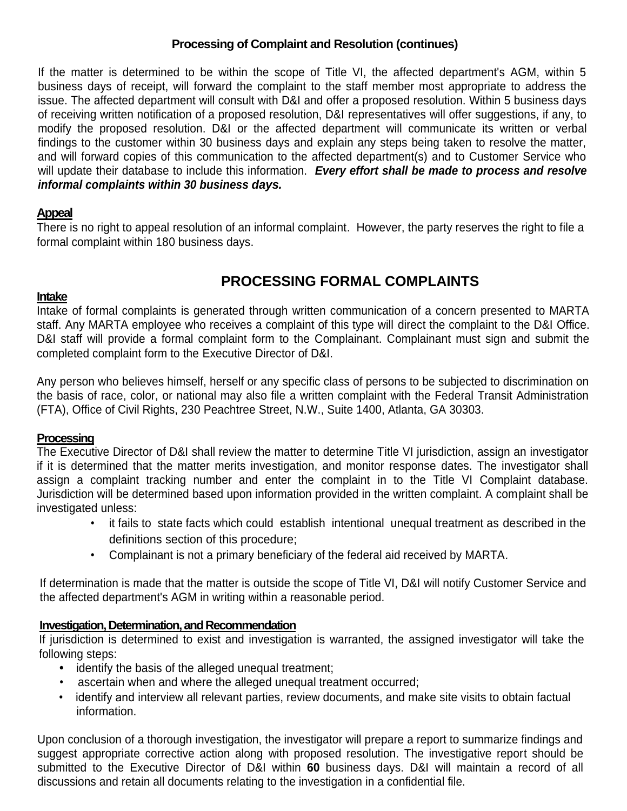## **Processing of Complaint and Resolution (continues)**

If the matter is determined to be within the scope of Title VI, the affected department's AGM, within 5 business days of receipt, will forward the complaint to the staff member most appropriate to address the issue. The affected department will consult with D&I and offer a proposed resolution. Within 5 business days of receiving written notification of a proposed resolution, D&I representatives will offer suggestions, if any, to modify the proposed resolution. D&I or the affected department will communicate its written or verbal findings to the customer within 30 business days and explain any steps being taken to resolve the matter, and will forward copies of this communication to the affected department(s) and to Customer Service who will update their database to include this information. *Every effort shall be made to process and resolve informal complaints within 30 business days.*

### **Appeal**

There is no right to appeal resolution of an informal complaint. However, the party reserves the right to file a formal complaint within 180 business days.

## **PROCESSING FORMAL COMPLAINTS**

#### **Intake**

Intake of formal complaints is generated through written communication of a concern presented to MARTA staff. Any MARTA employee who receives a complaint of this type will direct the complaint to the D&I Office. D&I staff will provide a formal complaint form to the Complainant. Complainant must sign and submit the completed complaint form to the Executive Director of D&I.

Any person who believes himself, herself or any specific class of persons to be subjected to discrimination on the basis of race, color, or national may also file a written complaint with the Federal Transit Administration (FTA), Office of Civil Rights, 230 Peachtree Street, N.W., Suite 1400, Atlanta, GA 30303.

### **Processing**

The Executive Director of D&I shall review the matter to determine Title VI jurisdiction, assign an investigator if it is determined that the matter merits investigation, and monitor response dates. The investigator shall assign a complaint tracking number and enter the complaint in to the Title VI Complaint database. Jurisdiction will be determined based upon information provided in the written complaint. A complaint shall be investigated unless:

- it fails to state facts which could establish intentional unequal treatment as described in the definitions section of this procedure;
- Complainant is not a primary beneficiary of the federal aid received by MARTA*.*

If determination is made that the matter is outside the scope of Title VI, D&I will notify Customer Service and the affected department's AGM in writing within a reasonable period.

## **Investigation, Determination, and Recommendation**

If jurisdiction is determined to exist and investigation is warranted, the assigned investigator will take the following steps:

- identify the basis of the alleged unequal treatment;
- ascertain when and where the alleged unequal treatment occurred;
- identify and interview all relevant parties, review documents, and make site visits to obtain factual information.

Upon conclusion of a thorough investigation, the investigator will prepare a report to summarize findings and suggest appropriate corrective action along with proposed resolution. The investigative report should be submitted to the Executive Director of D&I within **60** business days. D&I will maintain a record of all discussions and retain all documents relating to the investigation in a confidential file.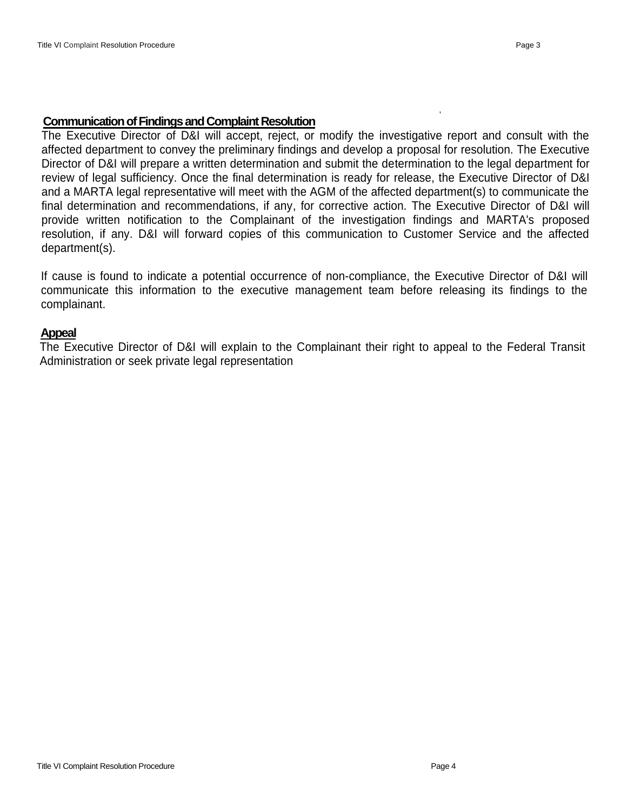,

#### **Communication of Findings and Complaint Resolution**

The Executive Director of D&I will accept, reject, or modify the investigative report and consult with the affected department to convey the preliminary findings and develop a proposal for resolution. The Executive Director of D&I will prepare a written determination and submit the determination to the legal department for review of legal sufficiency. Once the final determination is ready for release, the Executive Director of D&I and a MARTA legal representative will meet with the AGM of the affected department(s) to communicate the final determination and recommendations, if any, for corrective action. The Executive Director of D&I will provide written notification to the Complainant of the investigation findings and MARTA's proposed resolution, if any. D&I will forward copies of this communication to Customer Service and the affected department(s).

If cause is found to indicate a potential occurrence of non-compliance, the Executive Director of D&I will communicate this information to the executive management team before releasing its findings to the complainant.

#### **Appeal**

The Executive Director of D&I will explain to the Complainant their right to appeal to the Federal Transit Administration or seek private legal representation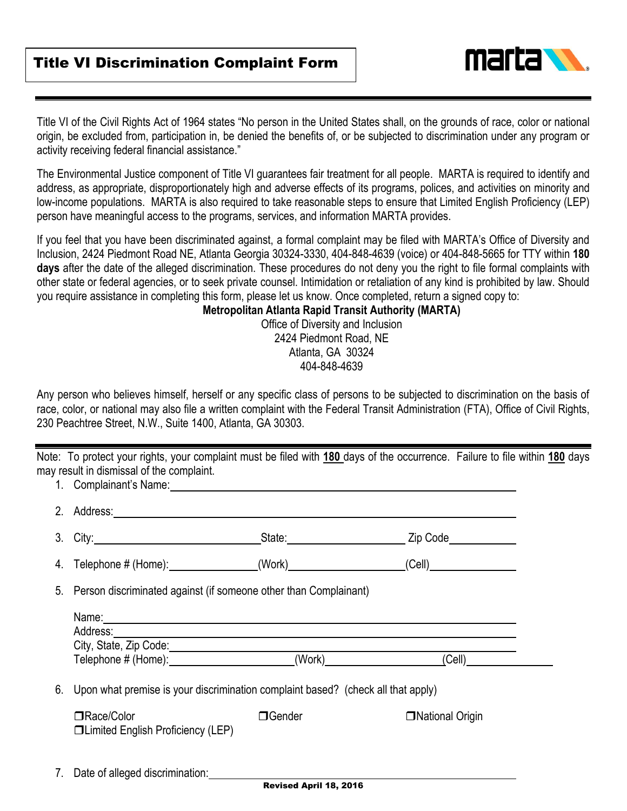

Title VI of the Civil Rights Act of 1964 states "No person in the United States shall, on the grounds of race, color or national origin, be excluded from, participation in, be denied the benefits of, or be subjected to discrimination under any program or activity receiving federal financial assistance."

The Environmental Justice component of Title VI guarantees fair treatment for all people. MARTA is required to identify and address, as appropriate, disproportionately high and adverse effects of its programs, polices, and activities on minority and low-income populations. MARTA is also required to take reasonable steps to ensure that Limited English Proficiency (LEP) person have meaningful access to the programs, services, and information MARTA provides.

If you feel that you have been discriminated against, a formal complaint may be filed with MARTA's Office of Diversity and Inclusion, 2424 Piedmont Road NE, Atlanta Georgia 30324-3330, 404-848-4639 (voice) or 404-848-5665 for TTY within **180 days** after the date of the alleged discrimination. These procedures do not deny you the right to file formal complaints with other state or federal agencies, or to seek private counsel. Intimidation or retaliation of any kind is prohibited by law. Should you require assistance in completing this form, please let us know. Once completed, return a signed copy to:

### **Metropolitan Atlanta Rapid Transit Authority (MARTA)**

Office of Diversity and Inclusion 2424 Piedmont Road, NE Atlanta, GA 30324 404-848-4639

Any person who believes himself, herself or any specific class of persons to be subjected to discrimination on the basis of race, color, or national may also file a written complaint with the Federal Transit Administration (FTA), Office of Civil Rights, 230 Peachtree Street, N.W., Suite 1400, Atlanta, GA 30303.

Note: To protect your rights, your complaint must be filed with **180** days of the occurrence. Failure to file within **180** days may result in dismissal of the complaint. 1. Complainant's Name:

|    | $\blacksquare$ . Obtinuolinging require.                                                                                                                                                                                                                                                                                                                                                                                                                                                                    |                                |                   |
|----|-------------------------------------------------------------------------------------------------------------------------------------------------------------------------------------------------------------------------------------------------------------------------------------------------------------------------------------------------------------------------------------------------------------------------------------------------------------------------------------------------------------|--------------------------------|-------------------|
|    | 2. Address: 2008. 2009. 2009. 2009. 2010. 2010. 2010. 2010. 2010. 2010. 2010. 2010. 2010. 2010. 2010. 2010. 20                                                                                                                                                                                                                                                                                                                                                                                              |                                |                   |
|    | 3. City: 2008. 2010. 2010. 2010. 2010. 2010. 2010. 2010. 2010. 2010. 2010. 2010. 2010. 2010. 2010. 2010. 2010                                                                                                                                                                                                                                                                                                                                                                                               | _State:_______________________ | Zip Code          |
| 4. |                                                                                                                                                                                                                                                                                                                                                                                                                                                                                                             |                                | (Cell)            |
|    | 5. Person discriminated against (if someone other than Complainant)                                                                                                                                                                                                                                                                                                                                                                                                                                         |                                |                   |
|    | Name: Name: Name: Name: Name: Name: Name: Name: Name: Name: Name: Name: Name: Name: Name: Name: Name: Name: Name: Name: Name: Name: Name: Name: Name: Name: Name: Name: Name: Name: Name: Name: Name: Name: Name: Name: Name:<br>Address: Address: Address: Address: Address: Address: Address: Address: Address: Address: Address: Address: Address: Address: Address: Address: Address: Address: Address: Address: Address: Address: Address: Address: Addres<br>Telephone # (Home): (Work) (Work) (Cell) |                                |                   |
| 6. | Upon what premise is your discrimination complaint based? (check all that apply)                                                                                                                                                                                                                                                                                                                                                                                                                            |                                |                   |
|    | □Race/Color<br>□Limited English Proficiency (LEP)                                                                                                                                                                                                                                                                                                                                                                                                                                                           | □Gender                        | □ National Origin |
|    | 7. Date of alleged discrimination:                                                                                                                                                                                                                                                                                                                                                                                                                                                                          |                                |                   |